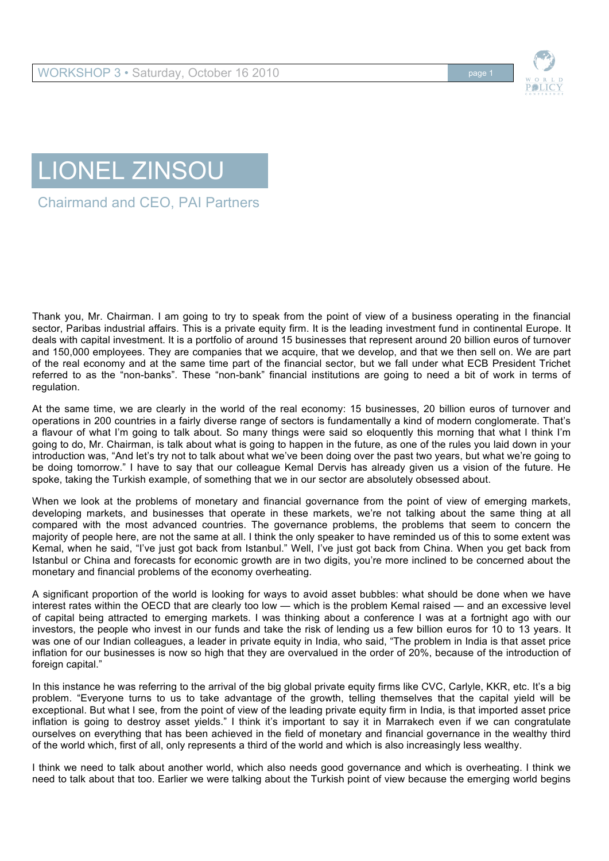

## LIONEL ZINSOU

Chairmand and CEO, PAI Partners

Thank you, Mr. Chairman. I am going to try to speak from the point of view of a business operating in the financial sector, Paribas industrial affairs. This is a private equity firm. It is the leading investment fund in continental Europe. It deals with capital investment. It is a portfolio of around 15 businesses that represent around 20 billion euros of turnover and 150,000 employees. They are companies that we acquire, that we develop, and that we then sell on. We are part of the real economy and at the same time part of the financial sector, but we fall under what ECB President Trichet referred to as the "non-banks". These "non-bank" financial institutions are going to need a bit of work in terms of regulation.

At the same time, we are clearly in the world of the real economy: 15 businesses, 20 billion euros of turnover and operations in 200 countries in a fairly diverse range of sectors is fundamentally a kind of modern conglomerate. That's a flavour of what I'm going to talk about. So many things were said so eloquently this morning that what I think I'm going to do, Mr. Chairman, is talk about what is going to happen in the future, as one of the rules you laid down in your introduction was, "And let's try not to talk about what we've been doing over the past two years, but what we're going to be doing tomorrow." I have to say that our colleague Kemal Dervis has already given us a vision of the future. He spoke, taking the Turkish example, of something that we in our sector are absolutely obsessed about.

When we look at the problems of monetary and financial governance from the point of view of emerging markets, developing markets, and businesses that operate in these markets, we're not talking about the same thing at all compared with the most advanced countries. The governance problems, the problems that seem to concern the majority of people here, are not the same at all. I think the only speaker to have reminded us of this to some extent was Kemal, when he said, "I've just got back from Istanbul." Well, I've just got back from China. When you get back from Istanbul or China and forecasts for economic growth are in two digits, you're more inclined to be concerned about the monetary and financial problems of the economy overheating.

A significant proportion of the world is looking for ways to avoid asset bubbles: what should be done when we have interest rates within the OECD that are clearly too low — which is the problem Kemal raised — and an excessive level of capital being attracted to emerging markets. I was thinking about a conference I was at a fortnight ago with our investors, the people who invest in our funds and take the risk of lending us a few billion euros for 10 to 13 years. It was one of our Indian colleagues, a leader in private equity in India, who said, "The problem in India is that asset price inflation for our businesses is now so high that they are overvalued in the order of 20%, because of the introduction of foreign capital."

In this instance he was referring to the arrival of the big global private equity firms like CVC, Carlyle, KKR, etc. It's a big problem. "Everyone turns to us to take advantage of the growth, telling themselves that the capital yield will be exceptional. But what I see, from the point of view of the leading private equity firm in India, is that imported asset price inflation is going to destroy asset yields." I think it's important to say it in Marrakech even if we can congratulate ourselves on everything that has been achieved in the field of monetary and financial governance in the wealthy third of the world which, first of all, only represents a third of the world and which is also increasingly less wealthy.

I think we need to talk about another world, which also needs good governance and which is overheating. I think we need to talk about that too. Earlier we were talking about the Turkish point of view because the emerging world begins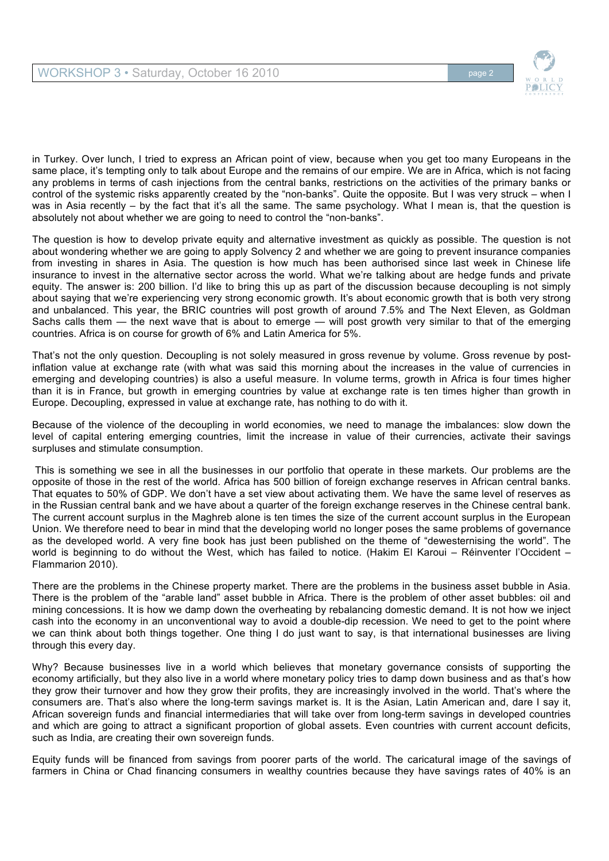

in Turkey. Over lunch, I tried to express an African point of view, because when you get too many Europeans in the same place, it's tempting only to talk about Europe and the remains of our empire. We are in Africa, which is not facing any problems in terms of cash injections from the central banks, restrictions on the activities of the primary banks or control of the systemic risks apparently created by the "non-banks". Quite the opposite. But I was very struck – when I was in Asia recently – by the fact that it's all the same. The same psychology. What I mean is, that the question is absolutely not about whether we are going to need to control the "non-banks".

The question is how to develop private equity and alternative investment as quickly as possible. The question is not about wondering whether we are going to apply Solvency 2 and whether we are going to prevent insurance companies from investing in shares in Asia. The question is how much has been authorised since last week in Chinese life insurance to invest in the alternative sector across the world. What we're talking about are hedge funds and private equity. The answer is: 200 billion. I'd like to bring this up as part of the discussion because decoupling is not simply about saying that we're experiencing very strong economic growth. It's about economic growth that is both very strong and unbalanced. This year, the BRIC countries will post growth of around 7.5% and The Next Eleven, as Goldman Sachs calls them — the next wave that is about to emerge — will post growth very similar to that of the emerging countries. Africa is on course for growth of 6% and Latin America for 5%.

That's not the only question. Decoupling is not solely measured in gross revenue by volume. Gross revenue by postinflation value at exchange rate (with what was said this morning about the increases in the value of currencies in emerging and developing countries) is also a useful measure. In volume terms, growth in Africa is four times higher than it is in France, but growth in emerging countries by value at exchange rate is ten times higher than growth in Europe. Decoupling, expressed in value at exchange rate, has nothing to do with it.

Because of the violence of the decoupling in world economies, we need to manage the imbalances: slow down the level of capital entering emerging countries, limit the increase in value of their currencies, activate their savings surpluses and stimulate consumption.

 This is something we see in all the businesses in our portfolio that operate in these markets. Our problems are the opposite of those in the rest of the world. Africa has 500 billion of foreign exchange reserves in African central banks. That equates to 50% of GDP. We don't have a set view about activating them. We have the same level of reserves as in the Russian central bank and we have about a quarter of the foreign exchange reserves in the Chinese central bank. The current account surplus in the Maghreb alone is ten times the size of the current account surplus in the European Union. We therefore need to bear in mind that the developing world no longer poses the same problems of governance as the developed world. A very fine book has just been published on the theme of "dewesternising the world". The world is beginning to do without the West, which has failed to notice. (Hakim El Karoui – Réinventer l'Occident – Flammarion 2010).

There are the problems in the Chinese property market. There are the problems in the business asset bubble in Asia. There is the problem of the "arable land" asset bubble in Africa. There is the problem of other asset bubbles: oil and mining concessions. It is how we damp down the overheating by rebalancing domestic demand. It is not how we inject cash into the economy in an unconventional way to avoid a double-dip recession. We need to get to the point where we can think about both things together. One thing I do just want to say, is that international businesses are living through this every day.

Why? Because businesses live in a world which believes that monetary governance consists of supporting the economy artificially, but they also live in a world where monetary policy tries to damp down business and as that's how they grow their turnover and how they grow their profits, they are increasingly involved in the world. That's where the consumers are. That's also where the long-term savings market is. It is the Asian, Latin American and, dare I say it, African sovereign funds and financial intermediaries that will take over from long-term savings in developed countries and which are going to attract a significant proportion of global assets. Even countries with current account deficits, such as India, are creating their own sovereign funds.

Equity funds will be financed from savings from poorer parts of the world. The caricatural image of the savings of farmers in China or Chad financing consumers in wealthy countries because they have savings rates of 40% is an